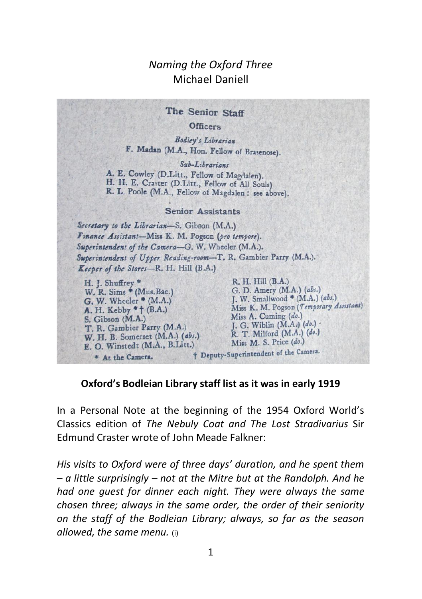## *Naming the Oxford Three* Michael Daniell

The Senior Staff Officers Bodley's Librarian F. Madan (M.A., Hon. Fellow of Brasenose).  $Sub-Liberariave$ A. E. Cowley (D.Litt., Fellow of Magdalen). H. H. E. Craster (D.Litt., Fellow of All Souls) R. L. Poole (M.A., Fellow of Magdalen: see above). **Senior Assistants** Secretary to the Librarian-S. Gibson (M.A.) Finance Assistant-Miss K. M. Pogson (pro tempore). Superintendent of the Camera-G. W. Wheeler (M.A.). Superintendent of Upper Reading-room-T. R. Gambier Parry (M.A.). Keeper of the Stores-R. H. Hill (B.A.) H. J. Shuffrey \* R. H. Hill (B.A.) G. D. Amery (M.A.) (abs.) W. R. Sims \* (Mus. Bac.) J. W. Smallwood \* (M.A.) (abs.)  $G.$  W. Wheeler  $*(M.A.)$ Miss K. M. Pogson (Temporary Assistant) A. H. Kebby \* † (B.A.) Miss A. Cuming (do.) S. Gibson (M.A.) J. G. Wiblin  $(M.A.)$   $(do.)$ T. R. Gambier Parry (M.A.) R. T. Milford (M.A.) (do.) W. H. B. Somerset (M.A.) (abs.) Miss M. S. Price (do.) E. O. Winstedt (M.A., B.Litt.) † Deputy-Superintendent of the Camera. \* At the Camera.

## **Oxford's Bodleian Library staff list as it was in early 1919**

In a Personal Note at the beginning of the 1954 Oxford World's Classics edition of *The Nebuly Coat and The Lost Stradivarius* Sir Edmund Craster wrote of John Meade Falkner:

*His visits to Oxford were of three days' duration, and he spent them – a little surprisingly – not at the Mitre but at the Randolph. And he had one guest for dinner each night. They were always the same chosen three; always in the same order, the order of their seniority on the staff of the Bodleian Library; always, so far as the season allowed, the same menu.* (i)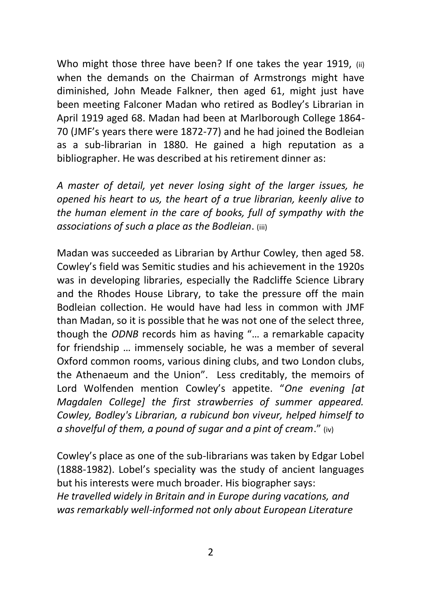Who might those three have been? If one takes the year 1919, (ii) when the demands on the Chairman of Armstrongs might have diminished, John Meade Falkner, then aged 61, might just have been meeting Falconer Madan who retired as Bodley's Librarian in April 1919 aged 68. Madan had been at Marlborough College 1864- 70 (JMF's years there were 1872-77) and he had joined the Bodleian as a sub-librarian in 1880. He gained a high reputation as a bibliographer. He was described at his retirement dinner as:

*A master of detail, yet never losing sight of the larger issues, he opened his heart to us, the heart of a true librarian, keenly alive to the human element in the care of books, full of sympathy with the associations of such a place as the Bodleian*. (iii)

Madan was succeeded as Librarian by Arthur Cowley, then aged 58. Cowley's field was Semitic studies and his achievement in the 1920s was in developing libraries, especially the Radcliffe Science Library and the Rhodes House Library, to take the pressure off the main Bodleian collection. He would have had less in common with JMF than Madan, so it is possible that he was not one of the select three, though the *ODNB* records him as having "… a remarkable capacity for friendship … immensely sociable, he was a member of several Oxford common rooms, various dining clubs, and two London clubs, the Athenaeum and the Union". Less creditably, the memoirs of Lord Wolfenden mention Cowley's appetite. "*One evening [at Magdalen College] the first strawberries of summer appeared. Cowley, Bodley's Librarian, a rubicund bon viveur, helped himself to a shovelful of them, a pound of sugar and a pint of cream*." (iv)

Cowley's place as one of the sub-librarians was taken by Edgar Lobel (1888-1982). Lobel's speciality was the study of ancient languages but his interests were much broader. His biographer says: *He travelled widely in Britain and in Europe during vacations, and was remarkably well-informed not only about European Literature*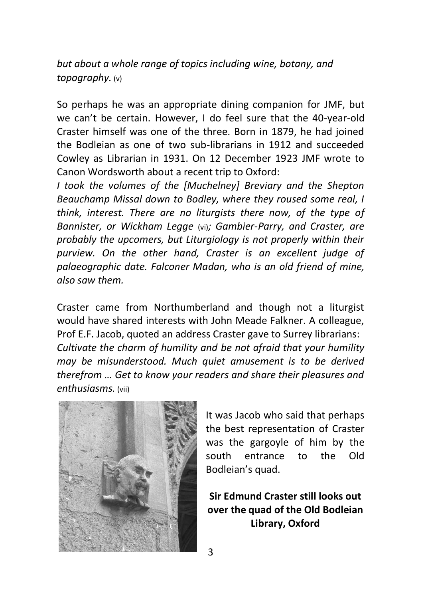*but about a whole range of topics including wine, botany, and topography.* (v)

So perhaps he was an appropriate dining companion for JMF, but we can't be certain. However, I do feel sure that the 40-year-old Craster himself was one of the three. Born in 1879, he had joined the Bodleian as one of two sub-librarians in 1912 and succeeded Cowley as Librarian in 1931. On 12 December 1923 JMF wrote to Canon Wordsworth about a recent trip to Oxford:

*I took the volumes of the [Muchelney] Breviary and the Shepton Beauchamp Missal down to Bodley, where they roused some real, I think, interest. There are no liturgists there now, of the type of Bannister, or Wickham Legge* (vi)*; Gambier-Parry, and Craster, are probably the upcomers, but Liturgiology is not properly within their purview. On the other hand, Craster is an excellent judge of palaeographic date. Falconer Madan, who is an old friend of mine, also saw them.*

Craster came from Northumberland and though not a liturgist would have shared interests with John Meade Falkner. A colleague, Prof E.F. Jacob, quoted an address Craster gave to Surrey librarians: *Cultivate the charm of humility and be not afraid that your humility may be misunderstood. Much quiet amusement is to be derived therefrom … Get to know your readers and share their pleasures and enthusiasms.* (vii)



It was Jacob who said that perhaps the best representation of Craster was the gargoyle of him by the south entrance to the Old Bodleian's quad.

**Sir Edmund Craster still looks out over the quad of the Old Bodleian Library, Oxford**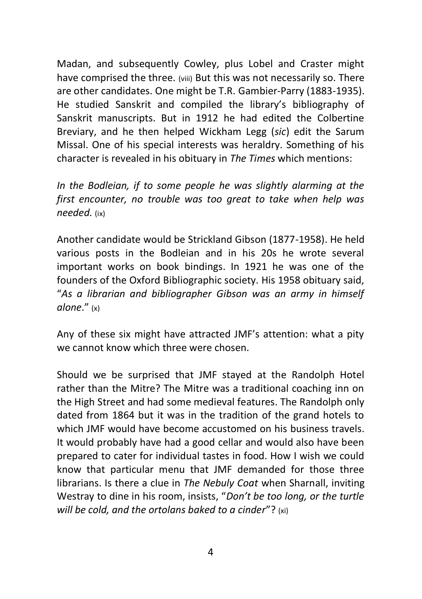Madan, and subsequently Cowley, plus Lobel and Craster might have comprised the three. (viii) But this was not necessarily so. There are other candidates. One might be T.R. Gambier-Parry (1883-1935). He studied Sanskrit and compiled the library's bibliography of Sanskrit manuscripts. But in 1912 he had edited the Colbertine Breviary, and he then helped Wickham Legg (*sic*) edit the Sarum Missal. One of his special interests was heraldry. Something of his character is revealed in his obituary in *The Times* which mentions:

*In the Bodleian, if to some people he was slightly alarming at the first encounter, no trouble was too great to take when help was needed.* (ix)

Another candidate would be Strickland Gibson (1877-1958). He held various posts in the Bodleian and in his 20s he wrote several important works on book bindings. In 1921 he was one of the founders of the Oxford Bibliographic society. His 1958 obituary said, "*As a librarian and bibliographer Gibson was an army in himself alone*." (x)

Any of these six might have attracted JMF's attention: what a pity we cannot know which three were chosen.

Should we be surprised that JMF stayed at the Randolph Hotel rather than the Mitre? The Mitre was a traditional coaching inn on the High Street and had some medieval features. The Randolph only dated from 1864 but it was in the tradition of the grand hotels to which JMF would have become accustomed on his business travels. It would probably have had a good cellar and would also have been prepared to cater for individual tastes in food. How I wish we could know that particular menu that JMF demanded for those three librarians. Is there a clue in *The Nebuly Coat* when Sharnall, inviting Westray to dine in his room, insists, "*Don't be too long, or the turtle will be cold, and the ortolans baked to a cinder*"? (xi)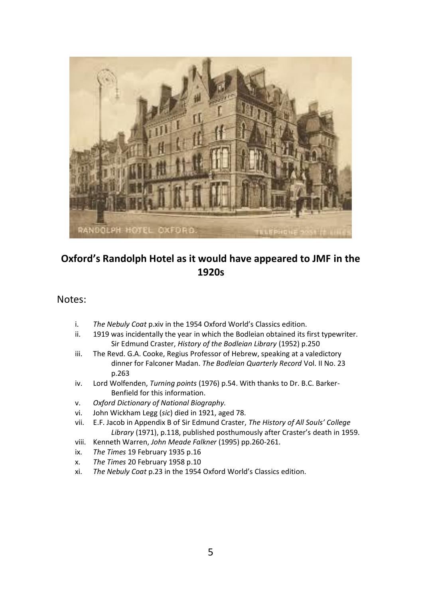

## **Oxford's Randolph Hotel as it would have appeared to JMF in the 1920s**

## Notes:

- i. *The Nebuly Coat* p.xiv in the 1954 Oxford World's Classics edition.
- ii. 1919 was incidentally the year in which the Bodleian obtained its first typewriter. Sir Edmund Craster, *History of the Bodleian Library* (1952) p.250
- iii. The Revd. G.A. Cooke, Regius Professor of Hebrew, speaking at a valedictory dinner for Falconer Madan. *The Bodleian Quarterly Record* Vol. II No. 23 p.263
- iv. Lord Wolfenden, *Turning points* (1976) p.54. With thanks to Dr. B.C. Barker-Benfield for this information.
- v. *Oxford Dictionary of National Biography.*
- vi. John Wickham Legg (*sic*) died in 1921, aged 78.
- vii. E.F. Jacob in Appendix B of Sir Edmund Craster, *The History of All Souls' College Library* (1971), p.118, published posthumously after Craster's death in 1959.
- viii. Kenneth Warren, *John Meade Falkner* (1995) pp.260-261.
- ix. *The Times* 19 February 1935 p.16
- x. *The Times* 20 February 1958 p.10
- xi. *The Nebuly Coat* p.23 in the 1954 Oxford World's Classics edition.